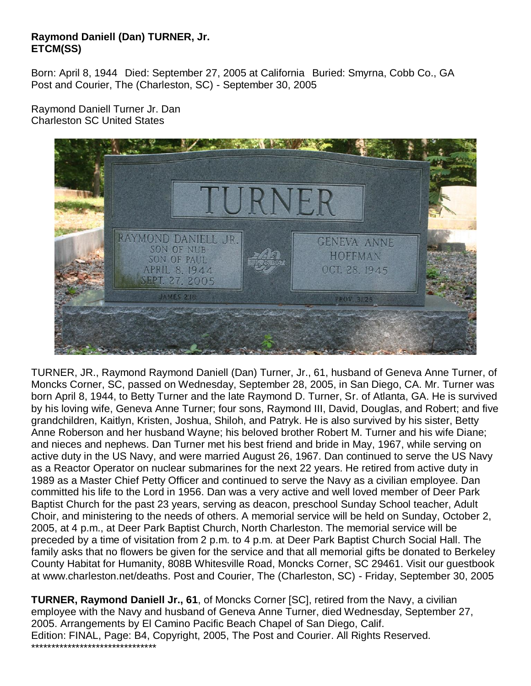## **Raymond Daniell (Dan) TURNER, Jr. ETCM(SS)**

Born: April 8, 1944 Died: September 27, 2005 at California Buried: Smyrna, Cobb Co., GA Post and Courier, The (Charleston, SC) - September 30, 2005

Raymond Daniell Turner Jr. Dan Charleston SC United States



TURNER, JR., Raymond Raymond Daniell (Dan) Turner, Jr., 61, husband of Geneva Anne Turner, of Moncks Corner, SC, passed on Wednesday, September 28, 2005, in San Diego, CA. Mr. Turner was born April 8, 1944, to Betty Turner and the late Raymond D. Turner, Sr. of Atlanta, GA. He is survived by his loving wife, Geneva Anne Turner; four sons, Raymond III, David, Douglas, and Robert; and five grandchildren, Kaitlyn, Kristen, Joshua, Shiloh, and Patryk. He is also survived by his sister, Betty Anne Roberson and her husband Wayne; his beloved brother Robert M. Turner and his wife Diane; and nieces and nephews. Dan Turner met his best friend and bride in May, 1967, while serving on active duty in the US Navy, and were married August 26, 1967. Dan continued to serve the US Navy as a Reactor Operator on nuclear submarines for the next 22 years. He retired from active duty in 1989 as a Master Chief Petty Officer and continued to serve the Navy as a civilian employee. Dan committed his life to the Lord in 1956. Dan was a very active and well loved member of Deer Park Baptist Church for the past 23 years, serving as deacon, preschool Sunday School teacher, Adult Choir, and ministering to the needs of others. A memorial service will be held on Sunday, October 2, 2005, at 4 p.m., at Deer Park Baptist Church, North Charleston. The memorial service will be preceded by a time of visitation from 2 p.m. to 4 p.m. at Deer Park Baptist Church Social Hall. The family asks that no flowers be given for the service and that all memorial gifts be donated to Berkeley County Habitat for Humanity, 808B Whitesville Road, Moncks Corner, SC 29461. Visit our guestbook at www.charleston.net/deaths. Post and Courier, The (Charleston, SC) - Friday, September 30, 2005

**TURNER, Raymond Daniell Jr., 61**, of Moncks Corner [SC], retired from the Navy, a civilian employee with the Navy and husband of Geneva Anne Turner, died Wednesday, September 27, 2005. Arrangements by El Camino Pacific Beach Chapel of San Diego, Calif. Edition: FINAL, Page: B4, Copyright, 2005, The Post and Courier. All Rights Reserved. \*\*\*\*\*\*\*\*\*\*\*\*\*\*\*\*\*\*\*\*\*\*\*\*\*\*\*\*\*\*\*